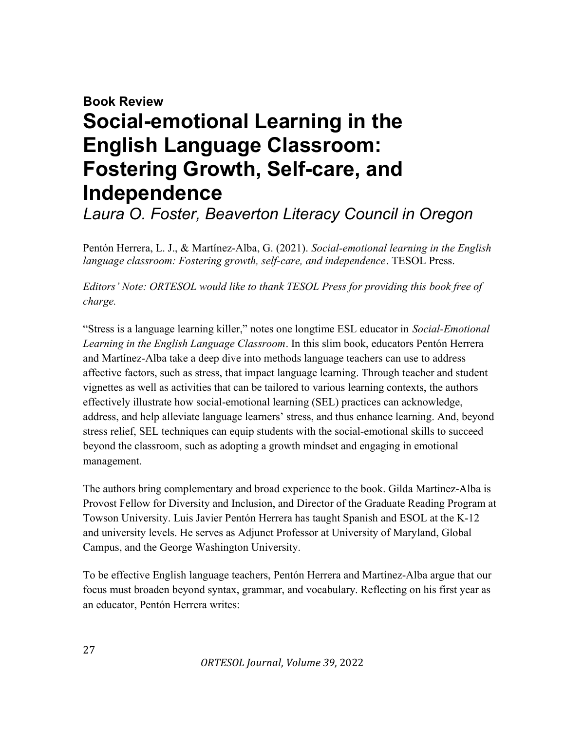## Book Review Social-emotional Learning in the English Language Classroom: Fostering Growth, Self-care, and Independence

Laura O. Foster, Beaverton Literacy Council in Oregon

Pentón Herrera, L. J., & Martínez-Alba, G. (2021). Social-emotional learning in the English language classroom: Fostering growth, self-care, and independence. TESOL Press.

Editors' Note: ORTESOL would like to thank TESOL Press for providing this book free of charge.

"Stress is a language learning killer," notes one longtime ESL educator in Social-Emotional Learning in the English Language Classroom. In this slim book, educators Pentón Herrera and Martínez-Alba take a deep dive into methods language teachers can use to address affective factors, such as stress, that impact language learning. Through teacher and student vignettes as well as activities that can be tailored to various learning contexts, the authors effectively illustrate how social-emotional learning (SEL) practices can acknowledge, address, and help alleviate language learners' stress, and thus enhance learning. And, beyond stress relief, SEL techniques can equip students with the social-emotional skills to succeed beyond the classroom, such as adopting a growth mindset and engaging in emotional management.

The authors bring complementary and broad experience to the book. Gilda Martinez-Alba is Provost Fellow for Diversity and Inclusion, and Director of the Graduate Reading Program at Towson University. Luis Javier Pentón Herrera has taught Spanish and ESOL at the K-12 and university levels. He serves as Adjunct Professor at University of Maryland, Global Campus, and the George Washington University.

To be effective English language teachers, Pentón Herrera and Martínez-Alba argue that our focus must broaden beyond syntax, grammar, and vocabulary. Reflecting on his first year as an educator, Pentón Herrera writes: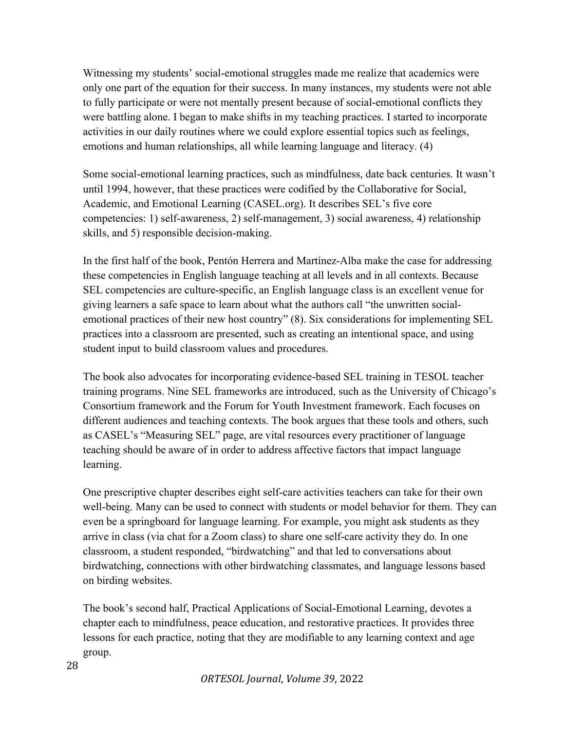Witnessing my students' social-emotional struggles made me realize that academics were only one part of the equation for their success. In many instances, my students were not able to fully participate or were not mentally present because of social-emotional conflicts they were battling alone. I began to make shifts in my teaching practices. I started to incorporate activities in our daily routines where we could explore essential topics such as feelings, emotions and human relationships, all while learning language and literacy. (4)

Some social-emotional learning practices, such as mindfulness, date back centuries. It wasn't until 1994, however, that these practices were codified by the Collaborative for Social, Academic, and Emotional Learning (CASEL.org). It describes SEL's five core competencies: 1) self-awareness, 2) self-management, 3) social awareness, 4) relationship skills, and 5) responsible decision-making.

In the first half of the book, Pentón Herrera and Martínez-Alba make the case for addressing these competencies in English language teaching at all levels and in all contexts. Because SEL competencies are culture-specific, an English language class is an excellent venue for giving learners a safe space to learn about what the authors call "the unwritten socialemotional practices of their new host country" (8). Six considerations for implementing SEL practices into a classroom are presented, such as creating an intentional space, and using student input to build classroom values and procedures.

The book also advocates for incorporating evidence-based SEL training in TESOL teacher training programs. Nine SEL frameworks are introduced, such as the University of Chicago's Consortium framework and the Forum for Youth Investment framework. Each focuses on different audiences and teaching contexts. The book argues that these tools and others, such as CASEL's "Measuring SEL" page, are vital resources every practitioner of language teaching should be aware of in order to address affective factors that impact language learning.

One prescriptive chapter describes eight self-care activities teachers can take for their own well-being. Many can be used to connect with students or model behavior for them. They can even be a springboard for language learning. For example, you might ask students as they arrive in class (via chat for a Zoom class) to share one self-care activity they do. In one classroom, a student responded, "birdwatching" and that led to conversations about birdwatching, connections with other birdwatching classmates, and language lessons based on birding websites.

The book's second half, Practical Applications of Social-Emotional Learning, devotes a chapter each to mindfulness, peace education, and restorative practices. It provides three lessons for each practice, noting that they are modifiable to any learning context and age group.